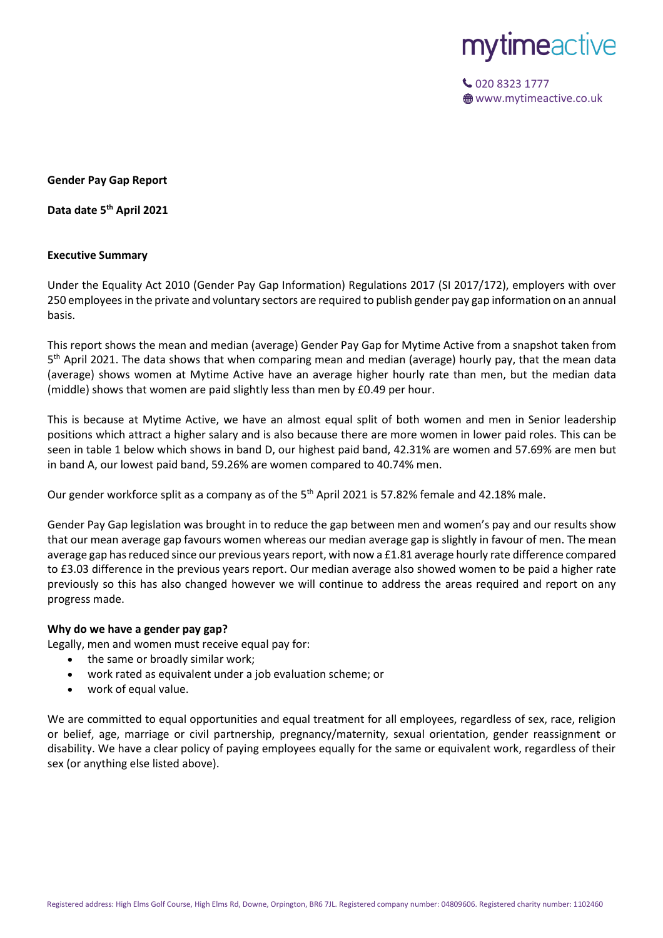

020 8323 1777 **<sup>●</sup>** www.mytimeactive.co.uk

**Gender Pay Gap Report**

**Data date 5 th April 2021**

### **Executive Summary**

Under the Equality Act 2010 (Gender Pay Gap Information) Regulations 2017 (SI 2017/172), employers with over 250 employees in the private and voluntary sectors are required to publish gender pay gap information on an annual basis.

This report shows the mean and median (average) Gender Pay Gap for Mytime Active from a snapshot taken from 5<sup>th</sup> April 2021. The data shows that when comparing mean and median (average) hourly pay, that the mean data (average) shows women at Mytime Active have an average higher hourly rate than men, but the median data (middle) shows that women are paid slightly less than men by £0.49 per hour.

This is because at Mytime Active, we have an almost equal split of both women and men in Senior leadership positions which attract a higher salary and is also because there are more women in lower paid roles. This can be seen in table 1 below which shows in band D, our highest paid band, 42.31% are women and 57.69% are men but in band A, our lowest paid band, 59.26% are women compared to 40.74% men.

Our gender workforce split as a company as of the 5<sup>th</sup> April 2021 is 57.82% female and 42.18% male.

Gender Pay Gap legislation was brought in to reduce the gap between men and women's pay and our results show that our mean average gap favours women whereas our median average gap is slightly in favour of men. The mean average gap has reduced since our previous years report, with now a £1.81 average hourly rate difference compared to £3.03 difference in the previous years report. Our median average also showed women to be paid a higher rate previously so this has also changed however we will continue to address the areas required and report on any progress made.

#### **Why do we have a gender pay gap?**

Legally, men and women must receive equal pay for:

- the same or broadly similar work;
- work rated as equivalent under a job evaluation scheme; or
- work of equal value.

We are committed to equal opportunities and equal treatment for all employees, regardless of sex, race, religion or belief, age, marriage or civil partnership, pregnancy/maternity, sexual orientation, gender reassignment or disability. We have a clear policy of paying employees equally for the same or equivalent work, regardless of their sex (or anything else listed above).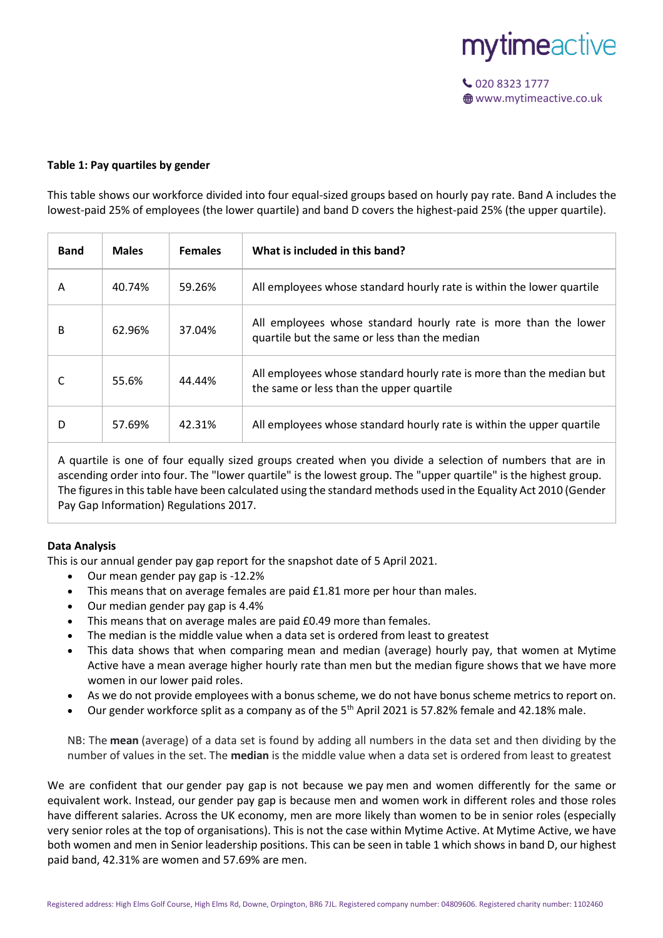

#### **Table 1: Pay quartiles by gender**

This table shows our workforce divided into four equal-sized groups based on hourly pay rate. Band A includes the lowest-paid 25% of employees (the lower quartile) and band D covers the highest-paid 25% (the upper quartile).

| <b>Band</b> | <b>Males</b> | <b>Females</b> | What is included in this band?                                                                                   |
|-------------|--------------|----------------|------------------------------------------------------------------------------------------------------------------|
| A           | 40.74%       | 59.26%         | All employees whose standard hourly rate is within the lower quartile                                            |
| B           | 62.96%       | 37.04%         | All employees whose standard hourly rate is more than the lower<br>quartile but the same or less than the median |
|             | 55.6%        | 44.44%         | All employees whose standard hourly rate is more than the median but<br>the same or less than the upper quartile |
| D           | 57.69%       | 42.31%         | All employees whose standard hourly rate is within the upper quartile                                            |

A quartile is one of four equally sized groups created when you divide a selection of numbers that are in ascending order into four. The "lower quartile" is the lowest group. The "upper quartile" is the highest group. The figures in this table have been calculated using the standard methods used in the Equality Act 2010 (Gender Pay Gap Information) Regulations 2017.

# **Data Analysis**

This is our annual gender pay gap report for the snapshot date of 5 April 2021.

- Our mean gender pay gap is -12.2%
- This means that on average females are paid £1.81 more per hour than males.
- Our median gender pay gap is 4.4%
- This means that on average males are paid £0.49 more than females.
- The median is the middle value when a data set is ordered from least to greatest
- This data shows that when comparing mean and median (average) hourly pay, that women at Mytime Active have a mean average higher hourly rate than men but the median figure shows that we have more women in our lower paid roles.
- As we do not provide employees with a bonus scheme, we do not have bonus scheme metrics to report on.
- Our gender workforce split as a company as of the  $5<sup>th</sup>$  April 2021 is 57.82% female and 42.18% male.

NB: The **mean** (average) of a data set is found by adding all numbers in the data set and then dividing by the number of values in the set. The **median** is the middle value when a data set is ordered from least to greatest

We are confident that our gender pay gap is not because we pay men and women differently for the same or equivalent work. Instead, our gender pay gap is because men and women work in different roles and those roles have different salaries. Across the UK economy, men are more likely than women to be in senior roles (especially very senior roles at the top of organisations). This is not the case within Mytime Active. At Mytime Active, we have both women and men in Senior leadership positions. This can be seen in table 1 which shows in band D, our highest paid band, 42.31% are women and 57.69% are men.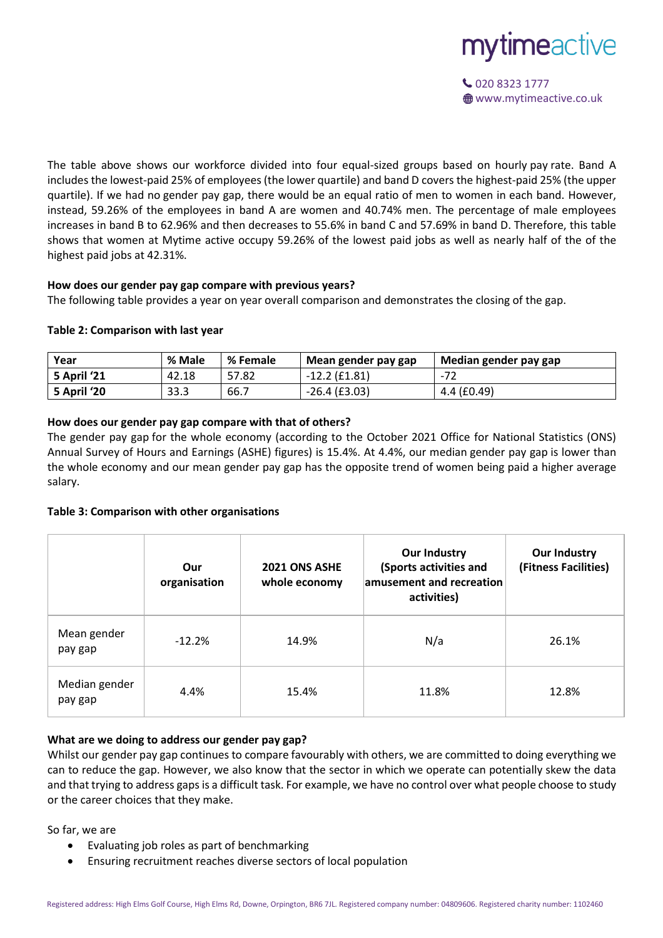

020 8323 1777 **<sup>●</sup>** www.mytimeactive.co.uk

The table above shows our workforce divided into four equal-sized groups based on hourly pay rate. Band A includes the lowest-paid 25% of employees (the lower quartile) and band D covers the highest-paid 25% (the upper quartile). If we had no gender pay gap, there would be an equal ratio of men to women in each band. However, instead, 59.26% of the employees in band A are women and 40.74% men. The percentage of male employees increases in band B to 62.96% and then decreases to 55.6% in band C and 57.69% in band D. Therefore, this table shows that women at Mytime active occupy 59.26% of the lowest paid jobs as well as nearly half of the of the highest paid jobs at 42.31%.

# **How does our gender pay gap compare with previous years?**

The following table provides a year on year overall comparison and demonstrates the closing of the gap.

### **Table 2: Comparison with last year**

| Year               | % Male | % Female | Mean gender pay gap | Median gender pay gap |
|--------------------|--------|----------|---------------------|-----------------------|
| <b>5 April '21</b> | 42.18  | 57.82    | $-12.2$ (£1.81)     | -72                   |
| 5 April '20        | 33.3   | 66.7     | $-26.4$ (£3.03)     | $4.4$ (£0.49)         |

# **How does our gender pay gap compare with that of others?**

The gender pay gap for the whole economy (according to the October 2021 Office for National Statistics (ONS) Annual Survey of Hours and Earnings (ASHE) figures) is 15.4%. At 4.4%, our median gender pay gap is lower than the whole economy and our mean gender pay gap has the opposite trend of women being paid a higher average salary.

#### **Table 3: Comparison with other organisations**

|                          | Our<br>organisation | 2021 ONS ASHE<br>whole economy | <b>Our Industry</b><br>(Sports activities and<br>amusement and recreation<br>activities) | <b>Our Industry</b><br>(Fitness Facilities) |
|--------------------------|---------------------|--------------------------------|------------------------------------------------------------------------------------------|---------------------------------------------|
| Mean gender<br>pay gap   | $-12.2%$            | 14.9%                          | N/a                                                                                      | 26.1%                                       |
| Median gender<br>pay gap | 4.4%                | 15.4%                          | 11.8%                                                                                    | 12.8%                                       |

# **What are we doing to address our gender pay gap?**

Whilst our gender pay gap continues to compare favourably with others, we are committed to doing everything we can to reduce the gap. However, we also know that the sector in which we operate can potentially skew the data and that trying to address gaps is a difficult task. For example, we have no control over what people choose to study or the career choices that they make.

So far, we are

- Evaluating job roles as part of benchmarking
- Ensuring recruitment reaches diverse sectors of local population